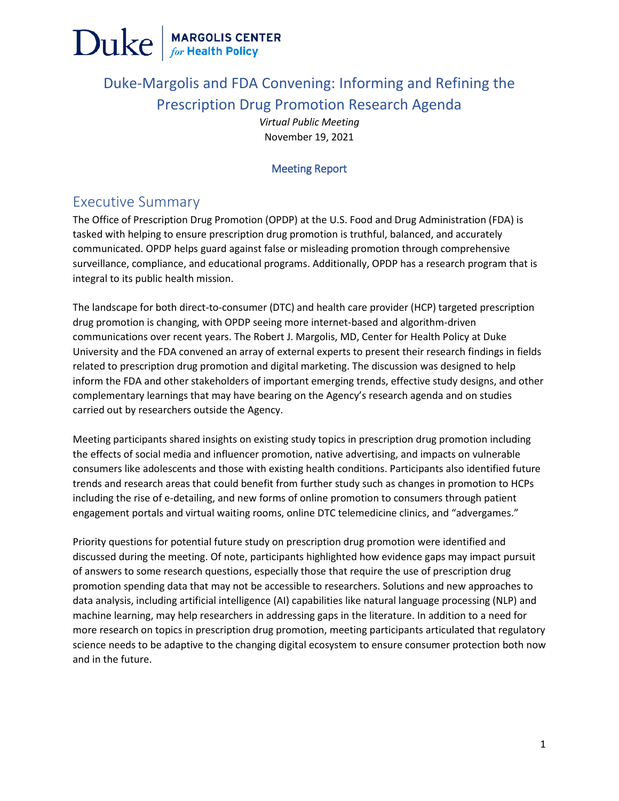

## Duke-Margolis and FDA Convening: Informing and Refining the Prescription Drug Promotion Research Agenda

*Virtual Public Meeting* November 19, 2021

#### Meeting Report

### Executive Summary

The Office of Prescription Drug Promotion (OPDP) at the U.S. Food and Drug Administration (FDA) is tasked with helping to ensure prescription drug promotion is truthful, balanced, and accurately communicated. OPDP helps guard against false or misleading promotion through comprehensive surveillance, compliance, and educational programs. Additionally, OPDP has a research program that is integral to its public health mission.

The landscape for both direct-to-consumer (DTC) and health care provider (HCP) targeted prescription drug promotion is changing, with OPDP seeing more internet-based and algorithm-driven communications over recent years. The Robert J. Margolis, MD, Center for Health Policy at Duke University and the FDA convened an array of external experts to present their research findings in fields related to prescription drug promotion and digital marketing. The discussion was designed to help inform the FDA and other stakeholders of important emerging trends, effective study designs, and other complementary learnings that may have bearing on the Agency's research agenda and on studies carried out by researchers outside the Agency.

Meeting participants shared insights on existing study topics in prescription drug promotion including the effects of social media and influencer promotion, native advertising, and impacts on vulnerable consumers like adolescents and those with existing health conditions. Participants also identified future trends and research areas that could benefit from further study such as changes in promotion to HCPs including the rise of e-detailing, and new forms of online promotion to consumers through patient engagement portals and virtual waiting rooms, online DTC telemedicine clinics, and "advergames."

Priority questions for potential future study on prescription drug promotion were identified and discussed during the meeting. Of note, participants highlighted how evidence gaps may impact pursuit of answers to some research questions, especially those that require the use of prescription drug promotion spending data that may not be accessible to researchers. Solutions and new approaches to data analysis, including artificial intelligence (AI) capabilities like natural language processing (NLP) and machine learning, may help researchers in addressing gaps in the literature. In addition to a need for more research on topics in prescription drug promotion, meeting participants articulated that regulatory science needs to be adaptive to the changing digital ecosystem to ensure consumer protection both now and in the future.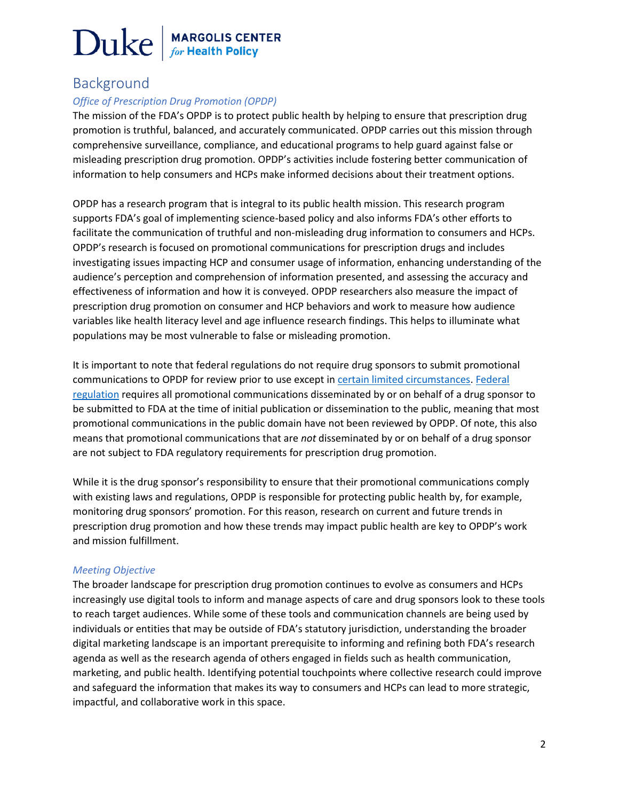### Background

#### *Office of Prescription Drug Promotion (OPDP)*

The mission of the FDA's OPDP is to protect public health by helping to ensure that prescription drug promotion is truthful, balanced, and accurately communicated. OPDP carries out this mission through comprehensive surveillance, compliance, and educational programs to help guard against false or misleading prescription drug promotion. OPDP's activities include fostering better communication of information to help consumers and HCPs make informed decisions about their treatment options.

OPDP has a research program that is integral to its public health mission. This research program supports FDA's goal of implementing science-based policy and also informs FDA's other efforts to facilitate the communication of truthful and non-misleading drug information to consumers and HCPs. OPDP's research is focused on promotional communications for prescription drugs and includes investigating issues impacting HCP and consumer usage of information, enhancing understanding of the audience's perception and comprehension of information presented, and assessing the accuracy and effectiveness of information and how it is conveyed. OPDP researchers also measure the impact of prescription drug promotion on consumer and HCP behaviors and work to measure how audience variables like health literacy level and age influence research findings. This helps to illuminate what populations may be most vulnerable to false or misleading promotion.

It is important to note that federal regulations do not require drug sponsors to submit promotional communications to OPDP for review prior to use except in [certain limited circumstances.](https://www.fda.gov/about-fda/center-drug-evaluation-and-research-cder/opdp-frequently-asked-questions-faqs#Pre-distributionSubmissions) [Federal](https://www.accessdata.fda.gov/scripts/cdrh/cfdocs/cfcfr/cfrsearch.cfm?fr=314.81)  [regulation](https://www.accessdata.fda.gov/scripts/cdrh/cfdocs/cfcfr/cfrsearch.cfm?fr=314.81) requires all promotional communications disseminated by or on behalf of a drug sponsor to be submitted to FDA at the time of initial publication or dissemination to the public, meaning that most promotional communications in the public domain have not been reviewed by OPDP. Of note, this also means that promotional communications that are *not* disseminated by or on behalf of a drug sponsor are not subject to FDA regulatory requirements for prescription drug promotion.

While it is the drug sponsor's responsibility to ensure that their promotional communications comply with existing laws and regulations, OPDP is responsible for protecting public health by, for example, monitoring drug sponsors' promotion. For this reason, research on current and future trends in prescription drug promotion and how these trends may impact public health are key to OPDP's work and mission fulfillment.

#### *Meeting Objective*

The broader landscape for prescription drug promotion continues to evolve as consumers and HCPs increasingly use digital tools to inform and manage aspects of care and drug sponsors look to these tools to reach target audiences. While some of these tools and communication channels are being used by individuals or entities that may be outside of FDA's statutory jurisdiction, understanding the broader digital marketing landscape is an important prerequisite to informing and refining both FDA's research agenda as well as the research agenda of others engaged in fields such as health communication, marketing, and public health. Identifying potential touchpoints where collective research could improve and safeguard the information that makes its way to consumers and HCPs can lead to more strategic, impactful, and collaborative work in this space.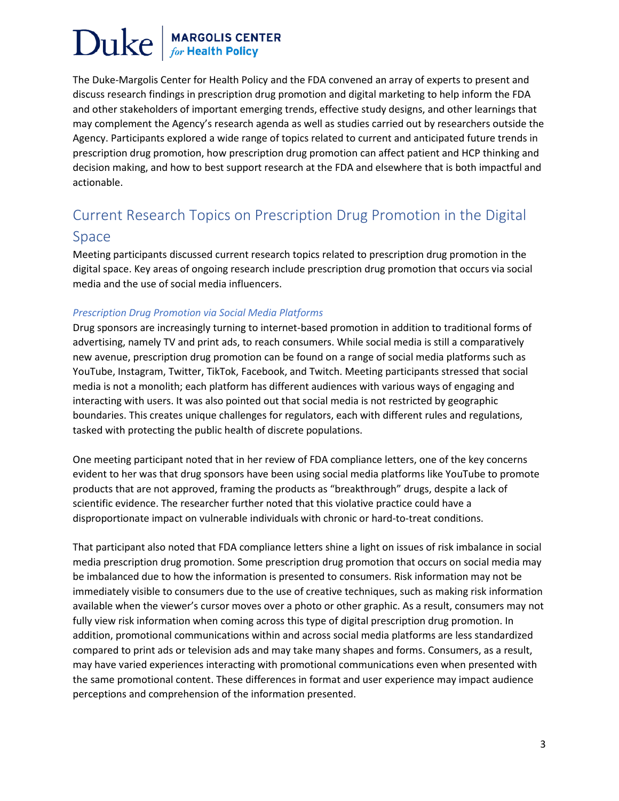The Duke-Margolis Center for Health Policy and the FDA convened an array of experts to present and discuss research findings in prescription drug promotion and digital marketing to help inform the FDA and other stakeholders of important emerging trends, effective study designs, and other learnings that may complement the Agency's research agenda as well as studies carried out by researchers outside the Agency. Participants explored a wide range of topics related to current and anticipated future trends in prescription drug promotion, how prescription drug promotion can affect patient and HCP thinking and decision making, and how to best support research at the FDA and elsewhere that is both impactful and actionable.

## Current Research Topics on Prescription Drug Promotion in the Digital

#### Space

Meeting participants discussed current research topics related to prescription drug promotion in the digital space. Key areas of ongoing research include prescription drug promotion that occurs via social media and the use of social media influencers.

#### *Prescription Drug Promotion via Social Media Platforms*

Drug sponsors are increasingly turning to internet-based promotion in addition to traditional forms of advertising, namely TV and print ads, to reach consumers. While social media is still a comparatively new avenue, prescription drug promotion can be found on a range of social media platforms such as YouTube, Instagram, Twitter, TikTok, Facebook, and Twitch. Meeting participants stressed that social media is not a monolith; each platform has different audiences with various ways of engaging and interacting with users. It was also pointed out that social media is not restricted by geographic boundaries. This creates unique challenges for regulators, each with different rules and regulations, tasked with protecting the public health of discrete populations.

One meeting participant noted that in her review of FDA compliance letters, one of the key concerns evident to her was that drug sponsors have been using social media platforms like YouTube to promote products that are not approved, framing the products as "breakthrough" drugs, despite a lack of scientific evidence. The researcher further noted that this violative practice could have a disproportionate impact on vulnerable individuals with chronic or hard-to-treat conditions.

That participant also noted that FDA compliance letters shine a light on issues of risk imbalance in social media prescription drug promotion. Some prescription drug promotion that occurs on social media may be imbalanced due to how the information is presented to consumers. Risk information may not be immediately visible to consumers due to the use of creative techniques, such as making risk information available when the viewer's cursor moves over a photo or other graphic. As a result, consumers may not fully view risk information when coming across this type of digital prescription drug promotion. In addition, promotional communications within and across social media platforms are less standardized compared to print ads or television ads and may take many shapes and forms. Consumers, as a result, may have varied experiences interacting with promotional communications even when presented with the same promotional content. These differences in format and user experience may impact audience perceptions and comprehension of the information presented.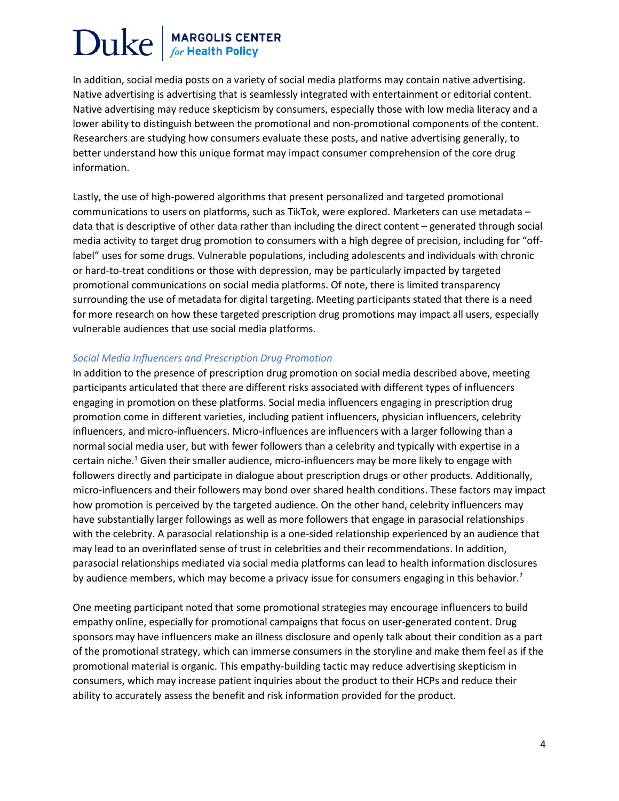In addition, social media posts on a variety of social media platforms may contain native advertising. Native advertising is advertising that is seamlessly integrated with entertainment or editorial content. Native advertising may reduce skepticism by consumers, especially those with low media literacy and a lower ability to distinguish between the promotional and non-promotional components of the content. Researchers are studying how consumers evaluate these posts, and native advertising generally, to better understand how this unique format may impact consumer comprehension of the core drug information.

Lastly, the use of high-powered algorithms that present personalized and targeted promotional communications to users on platforms, such as TikTok, were explored. Marketers can use metadata – data that is descriptive of other data rather than including the direct content – generated through social media activity to target drug promotion to consumers with a high degree of precision, including for "offlabel" uses for some drugs. Vulnerable populations, including adolescents and individuals with chronic or hard-to-treat conditions or those with depression, may be particularly impacted by targeted promotional communications on social media platforms. Of note, there is limited transparency surrounding the use of metadata for digital targeting. Meeting participants stated that there is a need for more research on how these targeted prescription drug promotions may impact all users, especially vulnerable audiences that use social media platforms.

#### *Social Media Influencers and Prescription Drug Promotion*

In addition to the presence of prescription drug promotion on social media described above, meeting participants articulated that there are different risks associated with different types of influencers engaging in promotion on these platforms. Social media influencers engaging in prescription drug promotion come in different varieties, including patient influencers, physician influencers, celebrity influencers, and micro-influencers. Micro-influences are influencers with a larger following than a normal social media user, but with fewer followers than a celebrity and typically with expertise in a certain niche.<sup>1</sup> Given their smaller audience, micro-influencers may be more likely to engage with followers directly and participate in dialogue about prescription drugs or other products. Additionally, micro-influencers and their followers may bond over shared health conditions. These factors may impact how promotion is perceived by the targeted audience. On the other hand, celebrity influencers may have substantially larger followings as well as more followers that engage in parasocial relationships with the celebrity. A parasocial relationship is a one-sided relationship experienced by an audience that may lead to an overinflated sense of trust in celebrities and their recommendations. In addition, parasocial relationships mediated via social media platforms can lead to health information disclosures by audience members, which may become a privacy issue for consumers engaging in this behavior.<sup>2</sup>

One meeting participant noted that some promotional strategies may encourage influencers to build empathy online, especially for promotional campaigns that focus on user-generated content. Drug sponsors may have influencers make an illness disclosure and openly talk about their condition as a part of the promotional strategy, which can immerse consumers in the storyline and make them feel as if the promotional material is organic. This empathy-building tactic may reduce advertising skepticism in consumers, which may increase patient inquiries about the product to their HCPs and reduce their ability to accurately assess the benefit and risk information provided for the product.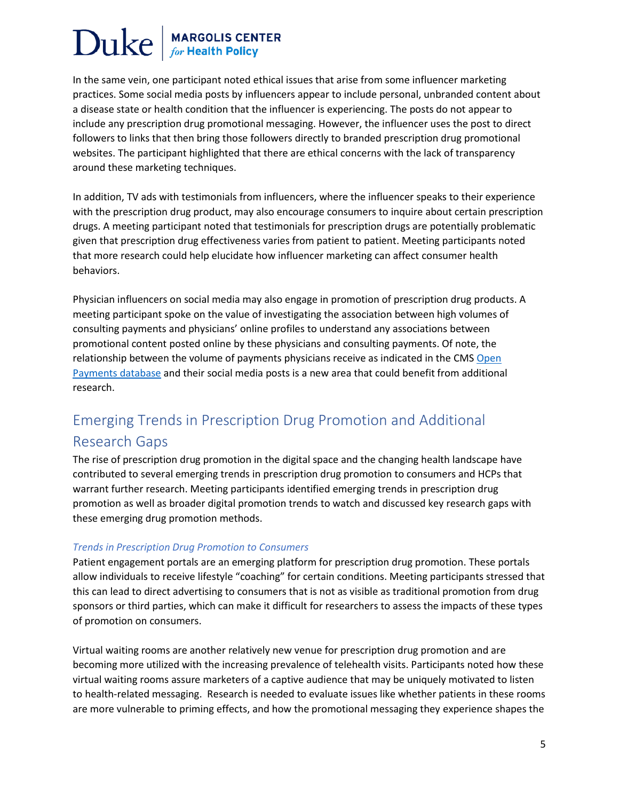In the same vein, one participant noted ethical issues that arise from some influencer marketing practices. Some social media posts by influencers appear to include personal, unbranded content about a disease state or health condition that the influencer is experiencing. The posts do not appear to include any prescription drug promotional messaging. However, the influencer uses the post to direct followers to links that then bring those followers directly to branded prescription drug promotional websites. The participant highlighted that there are ethical concerns with the lack of transparency around these marketing techniques.

In addition, TV ads with testimonials from influencers, where the influencer speaks to their experience with the prescription drug product, may also encourage consumers to inquire about certain prescription drugs. A meeting participant noted that testimonials for prescription drugs are potentially problematic given that prescription drug effectiveness varies from patient to patient. Meeting participants noted that more research could help elucidate how influencer marketing can affect consumer health behaviors.

Physician influencers on social media may also engage in promotion of prescription drug products. A meeting participant spoke on the value of investigating the association between high volumes of consulting payments and physicians' online profiles to understand any associations between promotional content posted online by these physicians and consulting payments. Of note, the relationship between the volume of payments physicians receive as indicated in the CMS Open [Payments database](https://www.cms.gov/openpayments) and their social media posts is a new area that could benefit from additional research.

## Emerging Trends in Prescription Drug Promotion and Additional Research Gaps

The rise of prescription drug promotion in the digital space and the changing health landscape have contributed to several emerging trends in prescription drug promotion to consumers and HCPs that warrant further research. Meeting participants identified emerging trends in prescription drug promotion as well as broader digital promotion trends to watch and discussed key research gaps with these emerging drug promotion methods.

#### *Trends in Prescription Drug Promotion to Consumers*

Patient engagement portals are an emerging platform for prescription drug promotion. These portals allow individuals to receive lifestyle "coaching" for certain conditions. Meeting participants stressed that this can lead to direct advertising to consumers that is not as visible as traditional promotion from drug sponsors or third parties, which can make it difficult for researchers to assess the impacts of these types of promotion on consumers.

Virtual waiting rooms are another relatively new venue for prescription drug promotion and are becoming more utilized with the increasing prevalence of telehealth visits. Participants noted how these virtual waiting rooms assure marketers of a captive audience that may be uniquely motivated to listen to health-related messaging. Research is needed to evaluate issues like whether patients in these rooms are more vulnerable to priming effects, and how the promotional messaging they experience shapes the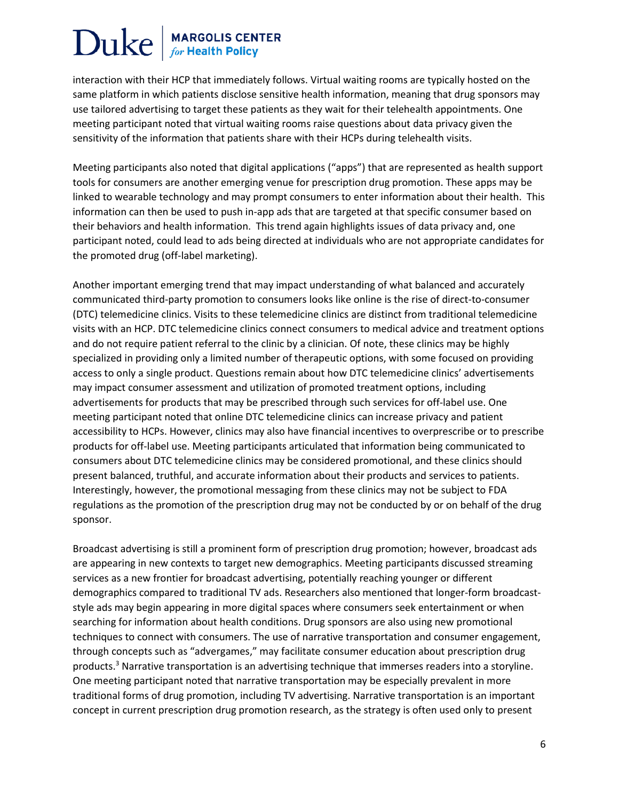interaction with their HCP that immediately follows. Virtual waiting rooms are typically hosted on the same platform in which patients disclose sensitive health information, meaning that drug sponsors may use tailored advertising to target these patients as they wait for their telehealth appointments. One meeting participant noted that virtual waiting rooms raise questions about data privacy given the sensitivity of the information that patients share with their HCPs during telehealth visits.

Meeting participants also noted that digital applications ("apps") that are represented as health support tools for consumers are another emerging venue for prescription drug promotion. These apps may be linked to wearable technology and may prompt consumers to enter information about their health. This information can then be used to push in-app ads that are targeted at that specific consumer based on their behaviors and health information. This trend again highlights issues of data privacy and, one participant noted, could lead to ads being directed at individuals who are not appropriate candidates for the promoted drug (off-label marketing).

Another important emerging trend that may impact understanding of what balanced and accurately communicated third-party promotion to consumers looks like online is the rise of direct-to-consumer (DTC) telemedicine clinics. Visits to these telemedicine clinics are distinct from traditional telemedicine visits with an HCP. DTC telemedicine clinics connect consumers to medical advice and treatment options and do not require patient referral to the clinic by a clinician. Of note, these clinics may be highly specialized in providing only a limited number of therapeutic options, with some focused on providing access to only a single product. Questions remain about how DTC telemedicine clinics' advertisements may impact consumer assessment and utilization of promoted treatment options, including advertisements for products that may be prescribed through such services for off-label use. One meeting participant noted that online DTC telemedicine clinics can increase privacy and patient accessibility to HCPs. However, clinics may also have financial incentives to overprescribe or to prescribe products for off-label use. Meeting participants articulated that information being communicated to consumers about DTC telemedicine clinics may be considered promotional, and these clinics should present balanced, truthful, and accurate information about their products and services to patients. Interestingly, however, the promotional messaging from these clinics may not be subject to FDA regulations as the promotion of the prescription drug may not be conducted by or on behalf of the drug sponsor.

Broadcast advertising is still a prominent form of prescription drug promotion; however, broadcast ads are appearing in new contexts to target new demographics. Meeting participants discussed streaming services as a new frontier for broadcast advertising, potentially reaching younger or different demographics compared to traditional TV ads. Researchers also mentioned that longer-form broadcaststyle ads may begin appearing in more digital spaces where consumers seek entertainment or when searching for information about health conditions. Drug sponsors are also using new promotional techniques to connect with consumers. The use of narrative transportation and consumer engagement, through concepts such as "advergames," may facilitate consumer education about prescription drug products.<sup>3</sup> Narrative transportation is an advertising technique that immerses readers into a storyline. One meeting participant noted that narrative transportation may be especially prevalent in more traditional forms of drug promotion, including TV advertising. Narrative transportation is an important concept in current prescription drug promotion research, as the strategy is often used only to present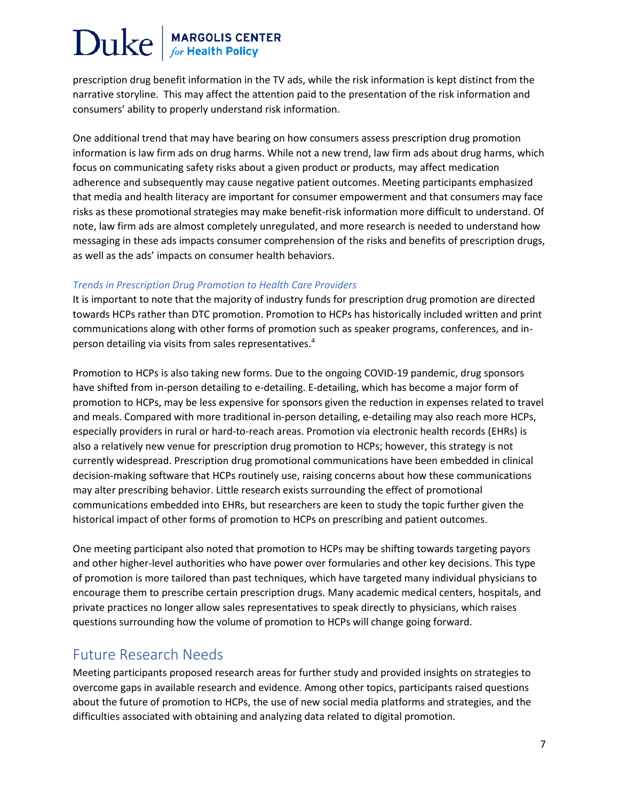prescription drug benefit information in the TV ads, while the risk information is kept distinct from the narrative storyline. This may affect the attention paid to the presentation of the risk information and consumers' ability to properly understand risk information.

One additional trend that may have bearing on how consumers assess prescription drug promotion information is law firm ads on drug harms. While not a new trend, law firm ads about drug harms, which focus on communicating safety risks about a given product or products, may affect medication adherence and subsequently may cause negative patient outcomes. Meeting participants emphasized that media and health literacy are important for consumer empowerment and that consumers may face risks as these promotional strategies may make benefit-risk information more difficult to understand. Of note, law firm ads are almost completely unregulated, and more research is needed to understand how messaging in these ads impacts consumer comprehension of the risks and benefits of prescription drugs, as well as the ads' impacts on consumer health behaviors.

#### *Trends in Prescription Drug Promotion to Health Care Providers*

It is important to note that the majority of industry funds for prescription drug promotion are directed towards HCPs rather than DTC promotion. Promotion to HCPs has historically included written and print communications along with other forms of promotion such as speaker programs, conferences, and inperson detailing via visits from sales representatives.<sup>4</sup>

Promotion to HCPs is also taking new forms. Due to the ongoing COVID-19 pandemic, drug sponsors have shifted from in-person detailing to e-detailing. E-detailing, which has become a major form of promotion to HCPs, may be less expensive for sponsors given the reduction in expenses related to travel and meals. Compared with more traditional in-person detailing, e-detailing may also reach more HCPs, especially providers in rural or hard-to-reach areas. Promotion via electronic health records (EHRs) is also a relatively new venue for prescription drug promotion to HCPs; however, this strategy is not currently widespread. Prescription drug promotional communications have been embedded in clinical decision-making software that HCPs routinely use, raising concerns about how these communications may alter prescribing behavior. Little research exists surrounding the effect of promotional communications embedded into EHRs, but researchers are keen to study the topic further given the historical impact of other forms of promotion to HCPs on prescribing and patient outcomes.

One meeting participant also noted that promotion to HCPs may be shifting towards targeting payors and other higher-level authorities who have power over formularies and other key decisions. This type of promotion is more tailored than past techniques, which have targeted many individual physicians to encourage them to prescribe certain prescription drugs. Many academic medical centers, hospitals, and private practices no longer allow sales representatives to speak directly to physicians, which raises questions surrounding how the volume of promotion to HCPs will change going forward.

### Future Research Needs

Meeting participants proposed research areas for further study and provided insights on strategies to overcome gaps in available research and evidence. Among other topics, participants raised questions about the future of promotion to HCPs, the use of new social media platforms and strategies, and the difficulties associated with obtaining and analyzing data related to digital promotion.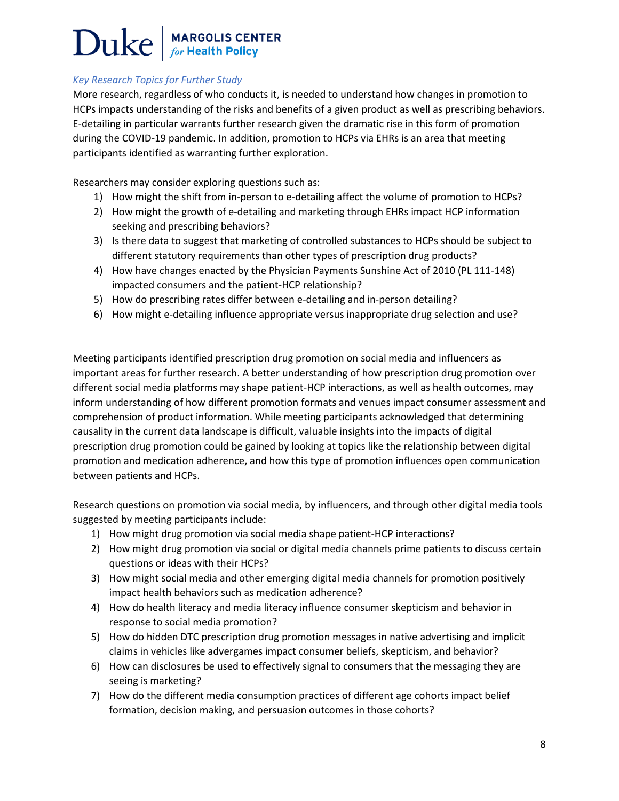#### *Key Research Topics for Further Study*

More research, regardless of who conducts it, is needed to understand how changes in promotion to HCPs impacts understanding of the risks and benefits of a given product as well as prescribing behaviors. E-detailing in particular warrants further research given the dramatic rise in this form of promotion during the COVID-19 pandemic. In addition, promotion to HCPs via EHRs is an area that meeting participants identified as warranting further exploration.

Researchers may consider exploring questions such as:

- 1) How might the shift from in-person to e-detailing affect the volume of promotion to HCPs?
- 2) How might the growth of e-detailing and marketing through EHRs impact HCP information seeking and prescribing behaviors?
- 3) Is there data to suggest that marketing of controlled substances to HCPs should be subject to different statutory requirements than other types of prescription drug products?
- 4) How have changes enacted by the Physician Payments Sunshine Act of 2010 (PL 111-148) impacted consumers and the patient-HCP relationship?
- 5) How do prescribing rates differ between e-detailing and in-person detailing?
- 6) How might e-detailing influence appropriate versus inappropriate drug selection and use?

Meeting participants identified prescription drug promotion on social media and influencers as important areas for further research. A better understanding of how prescription drug promotion over different social media platforms may shape patient-HCP interactions, as well as health outcomes, may inform understanding of how different promotion formats and venues impact consumer assessment and comprehension of product information. While meeting participants acknowledged that determining causality in the current data landscape is difficult, valuable insights into the impacts of digital prescription drug promotion could be gained by looking at topics like the relationship between digital promotion and medication adherence, and how this type of promotion influences open communication between patients and HCPs.

Research questions on promotion via social media, by influencers, and through other digital media tools suggested by meeting participants include:

- 1) How might drug promotion via social media shape patient-HCP interactions?
- 2) How might drug promotion via social or digital media channels prime patients to discuss certain questions or ideas with their HCPs?
- 3) How might social media and other emerging digital media channels for promotion positively impact health behaviors such as medication adherence?
- 4) How do health literacy and media literacy influence consumer skepticism and behavior in response to social media promotion?
- 5) How do hidden DTC prescription drug promotion messages in native advertising and implicit claims in vehicles like advergames impact consumer beliefs, skepticism, and behavior?
- 6) How can disclosures be used to effectively signal to consumers that the messaging they are seeing is marketing?
- 7) How do the different media consumption practices of different age cohorts impact belief formation, decision making, and persuasion outcomes in those cohorts?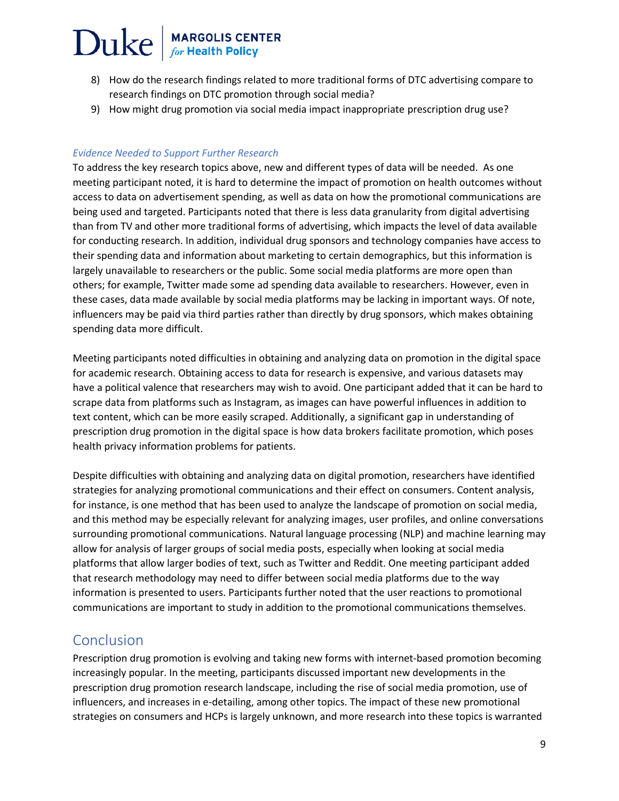- 8) How do the research findings related to more traditional forms of DTC advertising compare to research findings on DTC promotion through social media?
- 9) How might drug promotion via social media impact inappropriate prescription drug use?

#### *Evidence Needed to Support Further Research*

To address the key research topics above, new and different types of data will be needed. As one meeting participant noted, it is hard to determine the impact of promotion on health outcomes without access to data on advertisement spending, as well as data on how the promotional communications are being used and targeted. Participants noted that there is less data granularity from digital advertising than from TV and other more traditional forms of advertising, which impacts the level of data available for conducting research. In addition, individual drug sponsors and technology companies have access to their spending data and information about marketing to certain demographics, but this information is largely unavailable to researchers or the public. Some social media platforms are more open than others; for example, Twitter made some ad spending data available to researchers. However, even in these cases, data made available by social media platforms may be lacking in important ways. Of note, influencers may be paid via third parties rather than directly by drug sponsors, which makes obtaining spending data more difficult.

Meeting participants noted difficulties in obtaining and analyzing data on promotion in the digital space for academic research. Obtaining access to data for research is expensive, and various datasets may have a political valence that researchers may wish to avoid. One participant added that it can be hard to scrape data from platforms such as Instagram, as images can have powerful influences in addition to text content, which can be more easily scraped. Additionally, a significant gap in understanding of prescription drug promotion in the digital space is how data brokers facilitate promotion, which poses health privacy information problems for patients.

Despite difficulties with obtaining and analyzing data on digital promotion, researchers have identified strategies for analyzing promotional communications and their effect on consumers. Content analysis, for instance, is one method that has been used to analyze the landscape of promotion on social media, and this method may be especially relevant for analyzing images, user profiles, and online conversations surrounding promotional communications. Natural language processing (NLP) and machine learning may allow for analysis of larger groups of social media posts, especially when looking at social media platforms that allow larger bodies of text, such as Twitter and Reddit. One meeting participant added that research methodology may need to differ between social media platforms due to the way information is presented to users. Participants further noted that the user reactions to promotional communications are important to study in addition to the promotional communications themselves.

### Conclusion

Prescription drug promotion is evolving and taking new forms with internet-based promotion becoming increasingly popular. In the meeting, participants discussed important new developments in the prescription drug promotion research landscape, including the rise of social media promotion, use of influencers, and increases in e-detailing, among other topics. The impact of these new promotional strategies on consumers and HCPs is largely unknown, and more research into these topics is warranted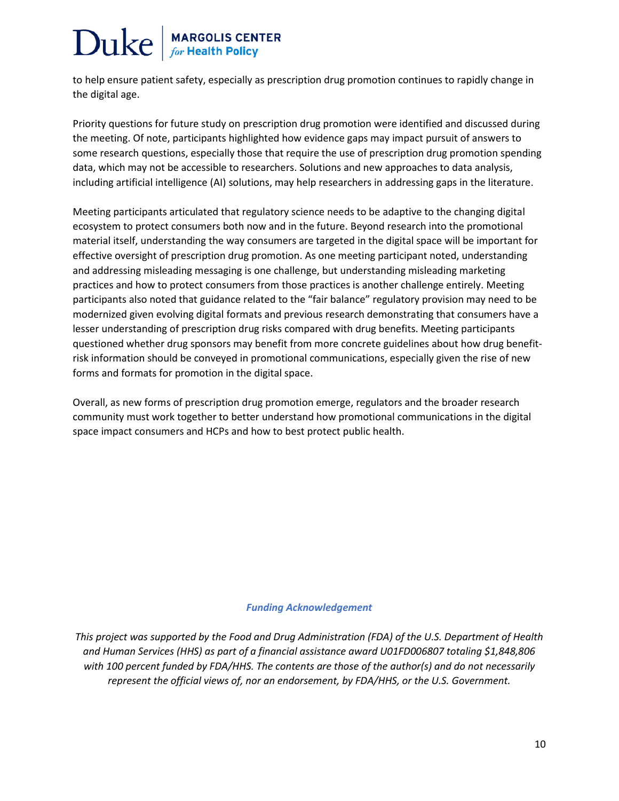to help ensure patient safety, especially as prescription drug promotion continues to rapidly change in the digital age.

Priority questions for future study on prescription drug promotion were identified and discussed during the meeting. Of note, participants highlighted how evidence gaps may impact pursuit of answers to some research questions, especially those that require the use of prescription drug promotion spending data, which may not be accessible to researchers. Solutions and new approaches to data analysis, including artificial intelligence (AI) solutions, may help researchers in addressing gaps in the literature.

Meeting participants articulated that regulatory science needs to be adaptive to the changing digital ecosystem to protect consumers both now and in the future. Beyond research into the promotional material itself, understanding the way consumers are targeted in the digital space will be important for effective oversight of prescription drug promotion. As one meeting participant noted, understanding and addressing misleading messaging is one challenge, but understanding misleading marketing practices and how to protect consumers from those practices is another challenge entirely. Meeting participants also noted that guidance related to the "fair balance" regulatory provision may need to be modernized given evolving digital formats and previous research demonstrating that consumers have a lesser understanding of prescription drug risks compared with drug benefits. Meeting participants questioned whether drug sponsors may benefit from more concrete guidelines about how drug benefitrisk information should be conveyed in promotional communications, especially given the rise of new forms and formats for promotion in the digital space.

Overall, as new forms of prescription drug promotion emerge, regulators and the broader research community must work together to better understand how promotional communications in the digital space impact consumers and HCPs and how to best protect public health.

#### *Funding Acknowledgement*

*This project was supported by the Food and Drug Administration (FDA) of the U.S. Department of Health and Human Services (HHS) as part of a financial assistance award U01FD006807 totaling \$1,848,806 with 100 percent funded by FDA/HHS. The contents are those of the author(s) and do not necessarily represent the official views of, nor an endorsement, by FDA/HHS, or the U.S. Government.*